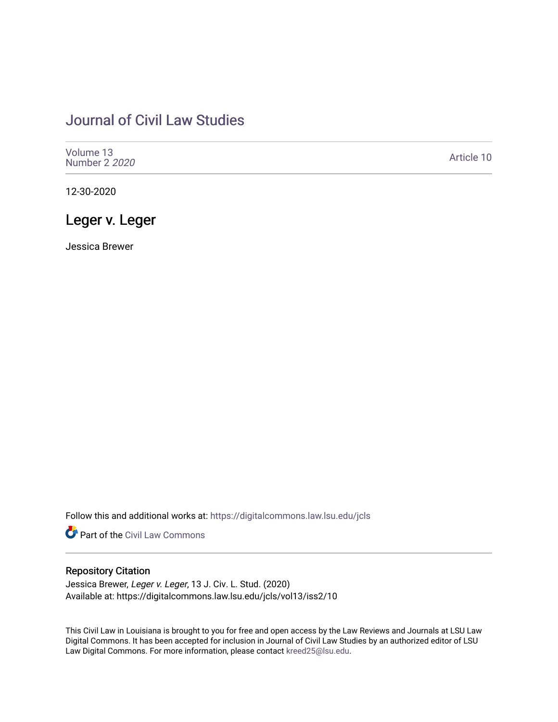# [Journal of Civil Law Studies](https://digitalcommons.law.lsu.edu/jcls)

| Volume 13<br>Number 2 2020 | Article 10 |
|----------------------------|------------|
|----------------------------|------------|

12-30-2020

## Leger v. Leger

Jessica Brewer

Follow this and additional works at: [https://digitalcommons.law.lsu.edu/jcls](https://digitalcommons.law.lsu.edu/jcls?utm_source=digitalcommons.law.lsu.edu%2Fjcls%2Fvol13%2Fiss2%2F10&utm_medium=PDF&utm_campaign=PDFCoverPages) 

**C** Part of the [Civil Law Commons](http://network.bepress.com/hgg/discipline/835?utm_source=digitalcommons.law.lsu.edu%2Fjcls%2Fvol13%2Fiss2%2F10&utm_medium=PDF&utm_campaign=PDFCoverPages)

### Repository Citation

Jessica Brewer, Leger v. Leger, 13 J. Civ. L. Stud. (2020) Available at: https://digitalcommons.law.lsu.edu/jcls/vol13/iss2/10

This Civil Law in Louisiana is brought to you for free and open access by the Law Reviews and Journals at LSU Law Digital Commons. It has been accepted for inclusion in Journal of Civil Law Studies by an authorized editor of LSU Law Digital Commons. For more information, please contact [kreed25@lsu.edu](mailto:kreed25@lsu.edu).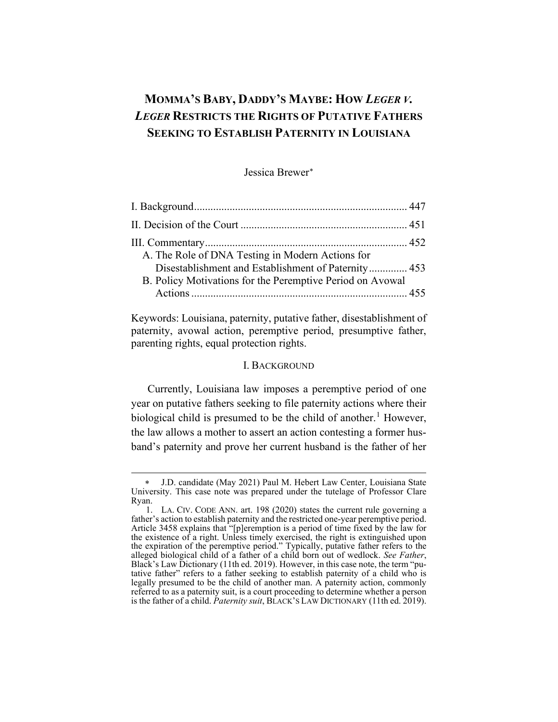# **MOMMA'S BABY, DADDY'S MAYBE: HOW** *LEGER V. LEGER* **RESTRICTS THE RIGHTS OF PUTATIVE FATHERS SEEKING TO ESTABLISH PATERNITY IN LOUISIANA**

Jessica Brewer[∗](#page-1-1)

| A. The Role of DNA Testing in Modern Actions for<br>Disestablishment and Establishment of Paternity 453 |  |
|---------------------------------------------------------------------------------------------------------|--|
| B. Policy Motivations for the Peremptive Period on Avowal                                               |  |
|                                                                                                         |  |

<span id="page-1-0"></span>Keywords: Louisiana, paternity, putative father, disestablishment of paternity, avowal action, peremptive period, presumptive father, parenting rights, equal protection rights.

### I. BACKGROUND

Currently, Louisiana law imposes a peremptive period of one year on putative fathers seeking to file paternity actions where their biological child is presumed to be the child of another.<sup>[1](#page-1-2)</sup> However, the law allows a mother to assert an action contesting a former husband's paternity and prove her current husband is the father of her

<span id="page-1-1"></span>J.D. candidate (May 2021) Paul M. Hebert Law Center, Louisiana State University. This case note was prepared under the tutelage of Professor Clare Ryan.

<span id="page-1-2"></span><sup>1.</sup> LA. CIV. CODE ANN. art. 198 (2020) states the current rule governing a father's action to establish paternity and the restricted one-year peremptive period. Article 3458 explains that "[p]eremption is a period of time fixed by the law for the existence of a right. Unless timely exercised, the right is extinguished upon the expiration of the peremptive period." Typically, putative father refers to the alleged biological child of a father of a child born out of wedlock. *See Father*, Black's Law Dictionary (11th ed. 2019). However, in this case note, the term "putative father" refers to a father seeking to establish paternity of a child who is legally presumed to be the child of another man. A paternity action, commonly referred to as a paternity suit, is a court proceeding to determine whether a person is the father of a child. *Paternity suit*, BLACK'S LAW DICTIONARY (11th ed. 2019).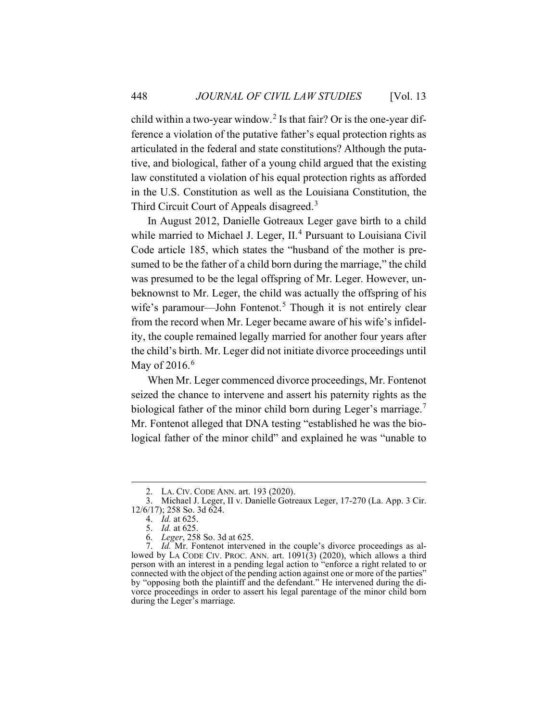child within a two-year window.<sup>[2](#page-2-0)</sup> Is that fair? Or is the one-year difference a violation of the putative father's equal protection rights as articulated in the federal and state constitutions? Although the putative, and biological, father of a young child argued that the existing law constituted a violation of his equal protection rights as afforded in the U.S. Constitution as well as the Louisiana Constitution, the Third Circuit Court of Appeals disagreed.<sup>[3](#page-2-1)</sup>

In August 2012, Danielle Gotreaux Leger gave birth to a child while married to Michael J. Leger, II.<sup>[4](#page-2-2)</sup> Pursuant to Louisiana Civil Code article 185, which states the "husband of the mother is presumed to be the father of a child born during the marriage," the child was presumed to be the legal offspring of Mr. Leger. However, unbeknownst to Mr. Leger, the child was actually the offspring of his wife's paramour—John Fontenot.<sup>[5](#page-2-3)</sup> Though it is not entirely clear from the record when Mr. Leger became aware of his wife's infidelity, the couple remained legally married for another four years after the child's birth. Mr. Leger did not initiate divorce proceedings until May of  $2016.^6$  $2016.^6$  $2016.^6$ 

When Mr. Leger commenced divorce proceedings, Mr. Fontenot seized the chance to intervene and assert his paternity rights as the biological father of the minor child born during Leger's marriage.<sup>[7](#page-2-5)</sup> Mr. Fontenot alleged that DNA testing "established he was the biological father of the minor child" and explained he was "unable to

<sup>2.</sup> LA. CIV. CODE ANN. art. 193 (2020).

<span id="page-2-2"></span><span id="page-2-1"></span><span id="page-2-0"></span><sup>3.</sup> Michael J. Leger, II v. Danielle Gotreaux Leger, 17-270 (La. App. 3 Cir. 12/6/17); 258 So. 3d 624.

<sup>4.</sup> *Id.* at 625.

<sup>5.</sup> *Id.* at 625.

<sup>6.</sup> *Leger*, 258 So. 3d at 625.

<span id="page-2-5"></span><span id="page-2-4"></span><span id="page-2-3"></span><sup>7.</sup> *Id.* Mr. Fontenot intervened in the couple's divorce proceedings as allowed by LA CODE CIV. PROC. ANN. art. 1091(3) (2020), which allows a third person with an interest in a pending legal action to "enforce a right related to or connected with the object of the pending action against one or more of the parties" by "opposing both the plaintiff and the defendant." He intervened during the divorce proceedings in order to assert his legal parentage of the minor child born during the Leger's marriage.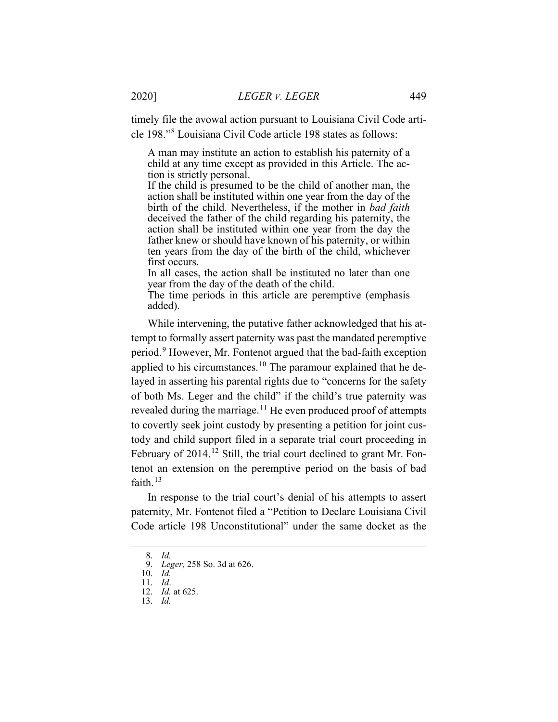timely file the avowal action pursuant to Louisiana Civil Code article 198."[8](#page-3-0) Louisiana Civil Code article 198 states as follows:

A man may institute an action to establish his paternity of a child at any time except as provided in this Article. The action is strictly personal.

If the child is presumed to be the child of another man, the action shall be instituted within one year from the day of the birth of the child. Nevertheless, if the mother in *bad faith* deceived the father of the child regarding his paternity, the action shall be instituted within one year from the day the father knew or should have known of his paternity, or within ten years from the day of the birth of the child, whichever first occurs.

In all cases, the action shall be instituted no later than one year from the day of the death of the child.

The time periods in this article are peremptive (emphasis added).

While intervening, the putative father acknowledged that his attempt to formally assert paternity was past the mandated peremptive period.[9](#page-3-1) However, Mr. Fontenot argued that the bad-faith exception applied to his circumstances.[10](#page-3-2) The paramour explained that he delayed in asserting his parental rights due to "concerns for the safety of both Ms. Leger and the child" if the child's true paternity was revealed during the marriage.<sup>[11](#page-3-3)</sup> He even produced proof of attempts to covertly seek joint custody by presenting a petition for joint custody and child support filed in a separate trial court proceeding in February of 2014.<sup>[12](#page-3-4)</sup> Still, the trial court declined to grant Mr. Fontenot an extension on the peremptive period on the basis of bad faith. $13$ 

<span id="page-3-0"></span>In response to the trial court's denial of his attempts to assert paternity, Mr. Fontenot filed a "Petition to Declare Louisiana Civil Code article 198 Unconstitutional" under the same docket as the

<sup>8.</sup> *Id.*

<sup>9.</sup> *Leger,* 258 So. 3d at 626.

<span id="page-3-2"></span><span id="page-3-1"></span><sup>10.</sup> *Id.*

<span id="page-3-3"></span><sup>11.</sup> *Id*. 12. *Id.* at 625.

<span id="page-3-5"></span><span id="page-3-4"></span><sup>13.</sup> *Id.*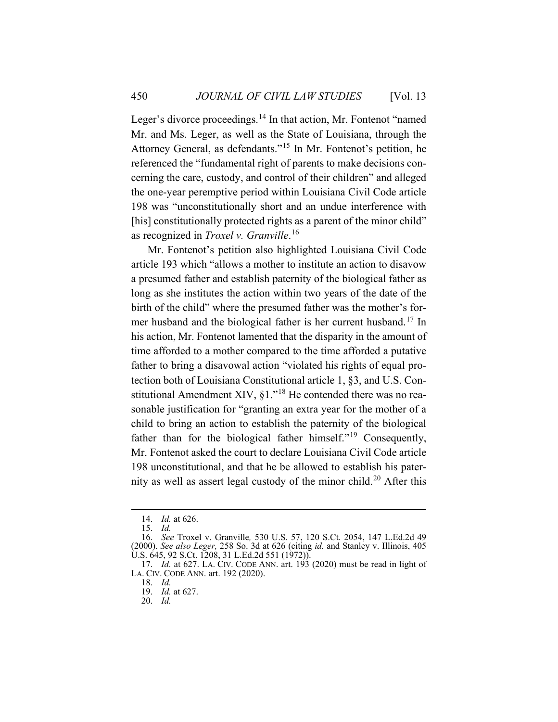Leger's divorce proceedings.<sup>[14](#page-4-0)</sup> In that action, Mr. Fontenot "named" Mr. and Ms. Leger, as well as the State of Louisiana, through the Attorney General, as defendants."[15](#page-4-1) In Mr. Fontenot's petition, he referenced the "fundamental right of parents to make decisions concerning the care, custody, and control of their children" and alleged the one-year peremptive period within Louisiana Civil Code article 198 was "unconstitutionally short and an undue interference with [his] constitutionally protected rights as a parent of the minor child" as recognized in *Troxel v. Granville*. [16](#page-4-2)

Mr. Fontenot's petition also highlighted Louisiana Civil Code article 193 which "allows a mother to institute an action to disavow a presumed father and establish paternity of the biological father as long as she institutes the action within two years of the date of the birth of the child" where the presumed father was the mother's former husband and the biological father is her current husband.[17](#page-4-3) In his action, Mr. Fontenot lamented that the disparity in the amount of time afforded to a mother compared to the time afforded a putative father to bring a disavowal action "violated his rights of equal protection both of Louisiana Constitutional article 1, §3, and U.S. Constitutional Amendment XIV, §1."[18](#page-4-4) He contended there was no reasonable justification for "granting an extra year for the mother of a child to bring an action to establish the paternity of the biological father than for the biological father himself."<sup>[19](#page-4-5)</sup> Consequently, Mr. Fontenot asked the court to declare Louisiana Civil Code article 198 unconstitutional, and that he be allowed to establish his pater-nity as well as assert legal custody of the minor child.<sup>[20](#page-4-6)</sup> After this

<sup>14.</sup> *Id.* at 626.

<sup>15.</sup> *Id.*

<span id="page-4-2"></span><span id="page-4-1"></span><span id="page-4-0"></span><sup>16.</sup> *See* Troxel v. Granville*,* 530 U.S. 57, 120 S.Ct. 2054, 147 L.Ed.2d 49 (2000). *See also Leger,* 258 So. 3d at 626 (citing *id.* and Stanley v. Illinois, 405 U.S. 645, 92 S.Ct. 1208, 31 L.Ed.2d 551 (1972)).

<span id="page-4-6"></span><span id="page-4-5"></span><span id="page-4-4"></span><span id="page-4-3"></span><sup>17.</sup> *Id.* at 627. LA. CIV. CODE ANN. art. 193 (2020) must be read in light of LA. CIV. CODE ANN. art. 192 (2020).

<sup>18.</sup> *Id.*

<sup>19.</sup> *Id.* at 627.

<sup>20.</sup> *Id.*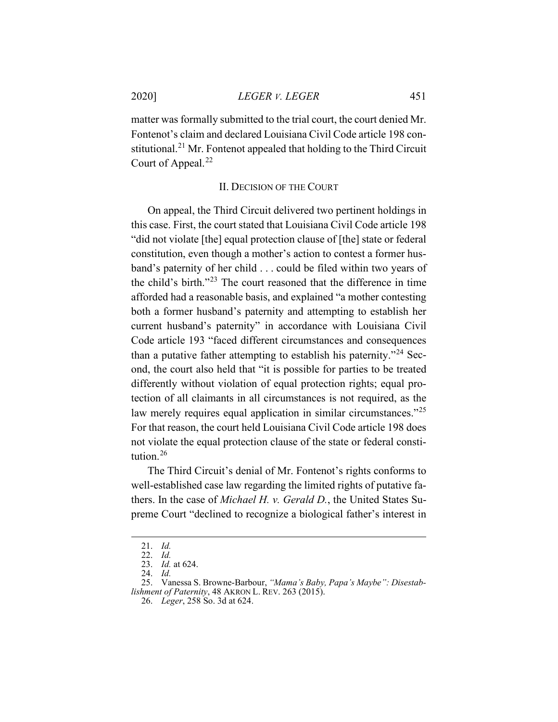matter was formally submitted to the trial court, the court denied Mr. Fontenot's claim and declared Louisiana Civil Code article 198 con-stitutional.<sup>[21](#page-5-1)</sup> Mr. Fontenot appealed that holding to the Third Circuit Court of Appeal.<sup>[22](#page-5-2)</sup>

#### II. DECISION OF THE COURT

<span id="page-5-0"></span>On appeal, the Third Circuit delivered two pertinent holdings in this case. First, the court stated that Louisiana Civil Code article 198 "did not violate [the] equal protection clause of [the] state or federal constitution, even though a mother's action to contest a former husband's paternity of her child . . . could be filed within two years of the child's birth."[23](#page-5-3) The court reasoned that the difference in time afforded had a reasonable basis, and explained "a mother contesting both a former husband's paternity and attempting to establish her current husband's paternity" in accordance with Louisiana Civil Code article 193 "faced different circumstances and consequences than a putative father attempting to establish his paternity."<sup>[24](#page-5-4)</sup> Second, the court also held that "it is possible for parties to be treated differently without violation of equal protection rights; equal protection of all claimants in all circumstances is not required, as the law merely requires equal application in similar circumstances."<sup>[25](#page-5-5)</sup> For that reason, the court held Louisiana Civil Code article 198 does not violate the equal protection clause of the state or federal constitution.[26](#page-5-6)

<span id="page-5-7"></span>The Third Circuit's denial of Mr. Fontenot's rights conforms to well-established case law regarding the limited rights of putative fathers. In the case of *Michael H. v. Gerald D.*, the United States Supreme Court "declined to recognize a biological father's interest in

<sup>21.</sup> *Id.*

<sup>22.</sup> *Id.*

<sup>23.</sup> *Id.* at 624.

<sup>24.</sup> *Id.*

<span id="page-5-6"></span><span id="page-5-5"></span><span id="page-5-4"></span><span id="page-5-3"></span><span id="page-5-2"></span><span id="page-5-1"></span><sup>25.</sup> Vanessa S. Browne-Barbour, *"Mama's Baby, Papa's Maybe": Disestablishment of Paternity*, 48 AKRON L. REV. 263 (2015).

<sup>26.</sup> *Leger*, 258 So. 3d at 624.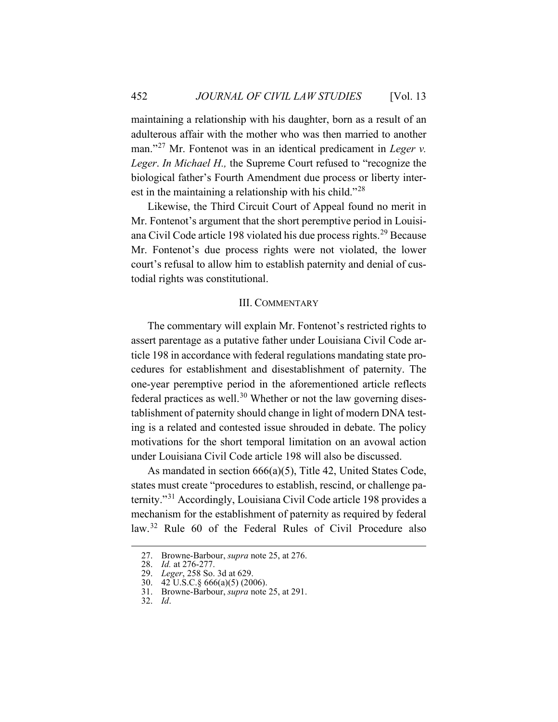maintaining a relationship with his daughter, born as a result of an adulterous affair with the mother who was then married to another man."<sup>[27](#page-6-1)</sup> Mr. Fontenot was in an identical predicament in *Leger v*. *Leger*. *In Michael H.,* the Supreme Court refused to "recognize the biological father's Fourth Amendment due process or liberty inter-est in the maintaining a relationship with his child."<sup>[28](#page-6-2)</sup>

Likewise, the Third Circuit Court of Appeal found no merit in Mr. Fontenot's argument that the short peremptive period in Louisiana Civil Code article 198 violated his due process rights.[29](#page-6-3) Because Mr. Fontenot's due process rights were not violated, the lower court's refusal to allow him to establish paternity and denial of custodial rights was constitutional.

#### III. COMMENTARY

<span id="page-6-0"></span>The commentary will explain Mr. Fontenot's restricted rights to assert parentage as a putative father under Louisiana Civil Code article 198 in accordance with federal regulations mandating state procedures for establishment and disestablishment of paternity. The one-year peremptive period in the aforementioned article reflects federal practices as well.<sup>[30](#page-6-4)</sup> Whether or not the law governing disestablishment of paternity should change in light of modern DNA testing is a related and contested issue shrouded in debate. The policy motivations for the short temporal limitation on an avowal action under Louisiana Civil Code article 198 will also be discussed.

As mandated in section 666(a)(5), Title 42, United States Code, states must create "procedures to establish, rescind, or challenge paternity."[31](#page-6-5) Accordingly, Louisiana Civil Code article 198 provides a mechanism for the establishment of paternity as required by federal law.[32](#page-6-6) Rule 60 of the Federal Rules of Civil Procedure also

<span id="page-6-1"></span><sup>27.</sup> Browne-Barbour, *supra* note [25,](#page-5-7) at 276.

<sup>28.</sup> *Id.* at 276-277.

<span id="page-6-4"></span><span id="page-6-3"></span><span id="page-6-2"></span><sup>29.</sup> *Leger*, 258 So. 3d at 629.

<sup>30.</sup> 42 U.S.C.§ 666(a)(5) (2006).

<sup>31.</sup> Browne-Barbour, *supra* note [25,](#page-5-7) at 291.

<span id="page-6-6"></span><span id="page-6-5"></span><sup>32.</sup> *Id*.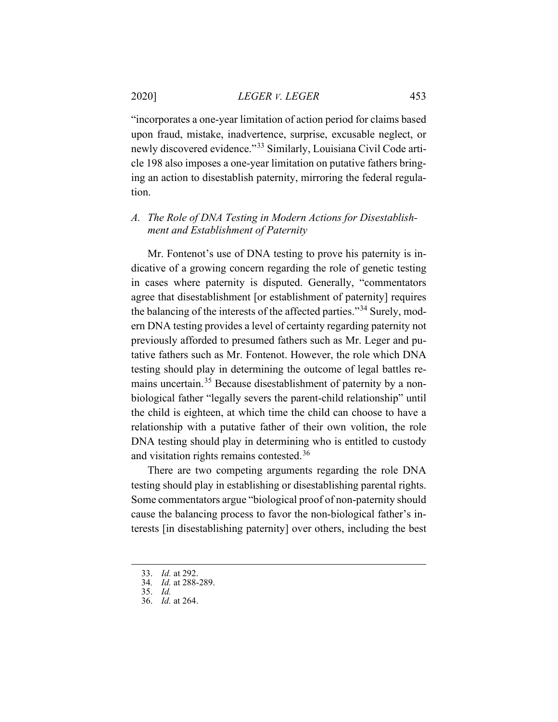"incorporates a one-year limitation of action period for claims based upon fraud, mistake, inadvertence, surprise, excusable neglect, or newly discovered evidence."[33](#page-7-1) Similarly, Louisiana Civil Code article 198 also imposes a one-year limitation on putative fathers bringing an action to disestablish paternity, mirroring the federal regulation.

## <span id="page-7-0"></span>*A. The Role of DNA Testing in Modern Actions for Disestablishment and Establishment of Paternity*

Mr. Fontenot's use of DNA testing to prove his paternity is indicative of a growing concern regarding the role of genetic testing in cases where paternity is disputed. Generally, "commentators agree that disestablishment [or establishment of paternity] requires the balancing of the interests of the affected parties."[34](#page-7-2) Surely, modern DNA testing provides a level of certainty regarding paternity not previously afforded to presumed fathers such as Mr. Leger and putative fathers such as Mr. Fontenot. However, the role which DNA testing should play in determining the outcome of legal battles remains uncertain.[35](#page-7-3) Because disestablishment of paternity by a nonbiological father "legally severs the parent-child relationship" until the child is eighteen, at which time the child can choose to have a relationship with a putative father of their own volition, the role DNA testing should play in determining who is entitled to custody and visitation rights remains contested.<sup>[36](#page-7-4)</sup>

There are two competing arguments regarding the role DNA testing should play in establishing or disestablishing parental rights. Some commentators argue "biological proof of non-paternity should cause the balancing process to favor the non-biological father's interests [in disestablishing paternity] over others, including the best

<span id="page-7-1"></span><sup>33.</sup> *Id.* at 292.

<sup>34</sup>*. Id.* at 288-289.

<span id="page-7-4"></span><span id="page-7-3"></span><span id="page-7-2"></span><sup>35.</sup> *Id.*

<sup>36.</sup> *Id.* at 264.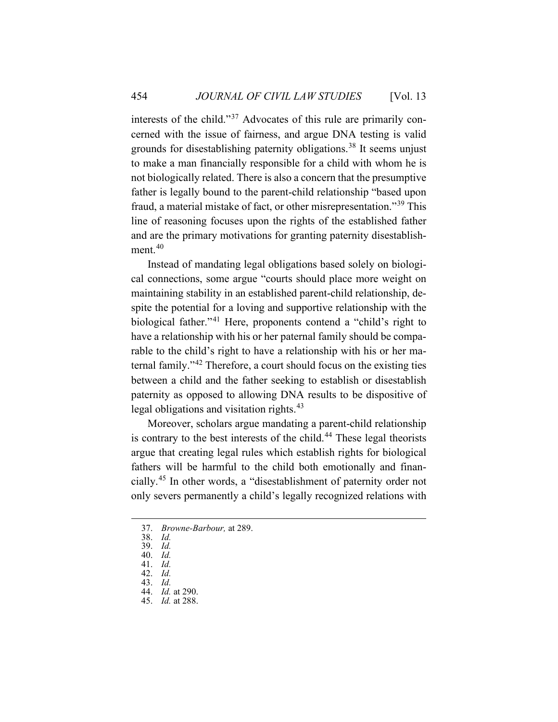interests of the child."[37](#page-8-0) Advocates of this rule are primarily concerned with the issue of fairness, and argue DNA testing is valid grounds for disestablishing paternity obligations.<sup>[38](#page-8-1)</sup> It seems unjust to make a man financially responsible for a child with whom he is not biologically related. There is also a concern that the presumptive father is legally bound to the parent-child relationship "based upon fraud, a material mistake of fact, or other misrepresentation."[39](#page-8-2) This line of reasoning focuses upon the rights of the established father and are the primary motivations for granting paternity disestablish-ment.<sup>[40](#page-8-3)</sup>

Instead of mandating legal obligations based solely on biological connections, some argue "courts should place more weight on maintaining stability in an established parent-child relationship, despite the potential for a loving and supportive relationship with the biological father."[41](#page-8-4) Here, proponents contend a "child's right to have a relationship with his or her paternal family should be comparable to the child's right to have a relationship with his or her maternal family."[42](#page-8-5) Therefore, a court should focus on the existing ties between a child and the father seeking to establish or disestablish paternity as opposed to allowing DNA results to be dispositive of legal obligations and visitation rights.<sup>[43](#page-8-6)</sup>

Moreover, scholars argue mandating a parent-child relationship is contrary to the best interests of the child.<sup>[44](#page-8-7)</sup> These legal theorists argue that creating legal rules which establish rights for biological fathers will be harmful to the child both emotionally and financially.[45](#page-8-8) In other words, a "disestablishment of paternity order not only severs permanently a child's legally recognized relations with

<span id="page-8-1"></span><span id="page-8-0"></span><sup>37.</sup> *Browne-Barbour,* at 289.

<sup>38.</sup> *Id.*

<span id="page-8-2"></span><sup>39.</sup> *Id.*

<sup>40.</sup> *Id.*

<span id="page-8-4"></span><span id="page-8-3"></span><sup>41.</sup> *Id.* 42. *Id.*

<span id="page-8-7"></span><span id="page-8-6"></span><span id="page-8-5"></span><sup>43.</sup> *Id.*

<sup>44.</sup> *Id.* at 290.

<span id="page-8-8"></span><sup>45.</sup> *Id.* at 288.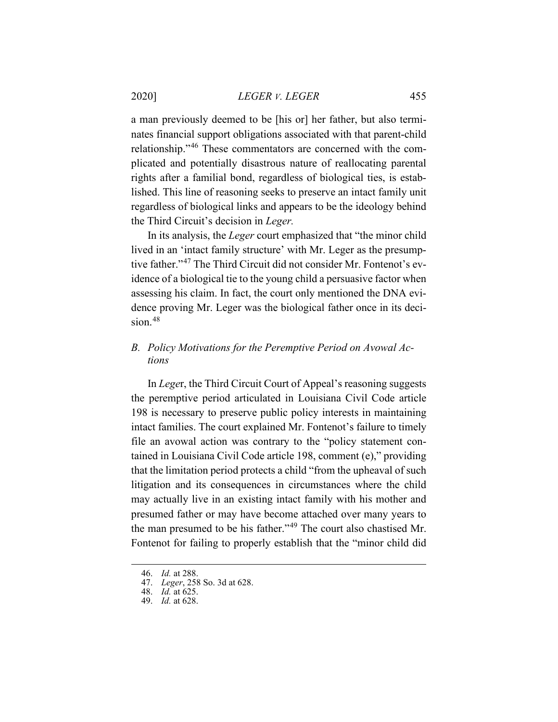a man previously deemed to be [his or] her father, but also terminates financial support obligations associated with that parent-child relationship."[46](#page-9-1) These commentators are concerned with the complicated and potentially disastrous nature of reallocating parental rights after a familial bond, regardless of biological ties, is established. This line of reasoning seeks to preserve an intact family unit regardless of biological links and appears to be the ideology behind the Third Circuit's decision in *Leger.*

In its analysis, the *Leger* court emphasized that "the minor child lived in an 'intact family structure' with Mr. Leger as the presumptive father."[47](#page-9-2) The Third Circuit did not consider Mr. Fontenot's evidence of a biological tie to the young child a persuasive factor when assessing his claim. In fact, the court only mentioned the DNA evidence proving Mr. Leger was the biological father once in its deci-sion.<sup>[48](#page-9-3)</sup>

### <span id="page-9-0"></span>*B. Policy Motivations for the Peremptive Period on Avowal Actions*

In *Lege*r, the Third Circuit Court of Appeal's reasoning suggests the peremptive period articulated in Louisiana Civil Code article 198 is necessary to preserve public policy interests in maintaining intact families. The court explained Mr. Fontenot's failure to timely file an avowal action was contrary to the "policy statement contained in Louisiana Civil Code article 198, comment (e)," providing that the limitation period protects a child "from the upheaval of such litigation and its consequences in circumstances where the child may actually live in an existing intact family with his mother and presumed father or may have become attached over many years to the man presumed to be his father."[49](#page-9-4) The court also chastised Mr. Fontenot for failing to properly establish that the "minor child did

<span id="page-9-1"></span><sup>46.</sup> *Id.* at 288.

<span id="page-9-2"></span><sup>47.</sup> *Leger*, 258 So. 3d at 628.

<sup>48.</sup> *Id.* at 625.

<span id="page-9-4"></span><span id="page-9-3"></span><sup>49.</sup> *Id.* at 628.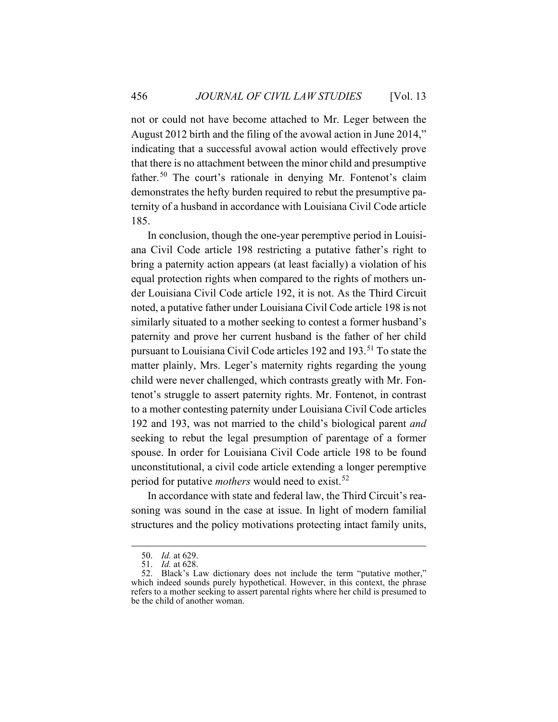not or could not have become attached to Mr. Leger between the August 2012 birth and the filing of the avowal action in June 2014," indicating that a successful avowal action would effectively prove that there is no attachment between the minor child and presumptive father.<sup>[50](#page-10-0)</sup> The court's rationale in denying Mr. Fontenot's claim demonstrates the hefty burden required to rebut the presumptive paternity of a husband in accordance with Louisiana Civil Code article 185.

In conclusion, though the one-year peremptive period in Louisiana Civil Code article 198 restricting a putative father's right to bring a paternity action appears (at least facially) a violation of his equal protection rights when compared to the rights of mothers under Louisiana Civil Code article 192, it is not. As the Third Circuit noted, a putative father under Louisiana Civil Code article 198 is not similarly situated to a mother seeking to contest a former husband's paternity and prove her current husband is the father of her child pursuant to Louisiana Civil Code articles 192 and 193.<sup>[51](#page-10-1)</sup> To state the matter plainly, Mrs. Leger's maternity rights regarding the young child were never challenged, which contrasts greatly with Mr. Fontenot's struggle to assert paternity rights. Mr. Fontenot, in contrast to a mother contesting paternity under Louisiana Civil Code articles 192 and 193, was not married to the child's biological parent *and*  seeking to rebut the legal presumption of parentage of a former spouse. In order for Louisiana Civil Code article 198 to be found unconstitutional, a civil code article extending a longer peremptive period for putative *mothers* would need to exist.[52](#page-10-2)

In accordance with state and federal law, the Third Circuit's reasoning was sound in the case at issue. In light of modern familial structures and the policy motivations protecting intact family units,

<sup>50.</sup> *Id.* at 629.

<sup>51.</sup> *Id.* at 628.

<span id="page-10-2"></span><span id="page-10-1"></span><span id="page-10-0"></span><sup>52.</sup> Black's Law dictionary does not include the term "putative mother," which indeed sounds purely hypothetical. However, in this context, the phrase refers to a mother seeking to assert parental rights where her child is presumed to be the child of another woman.